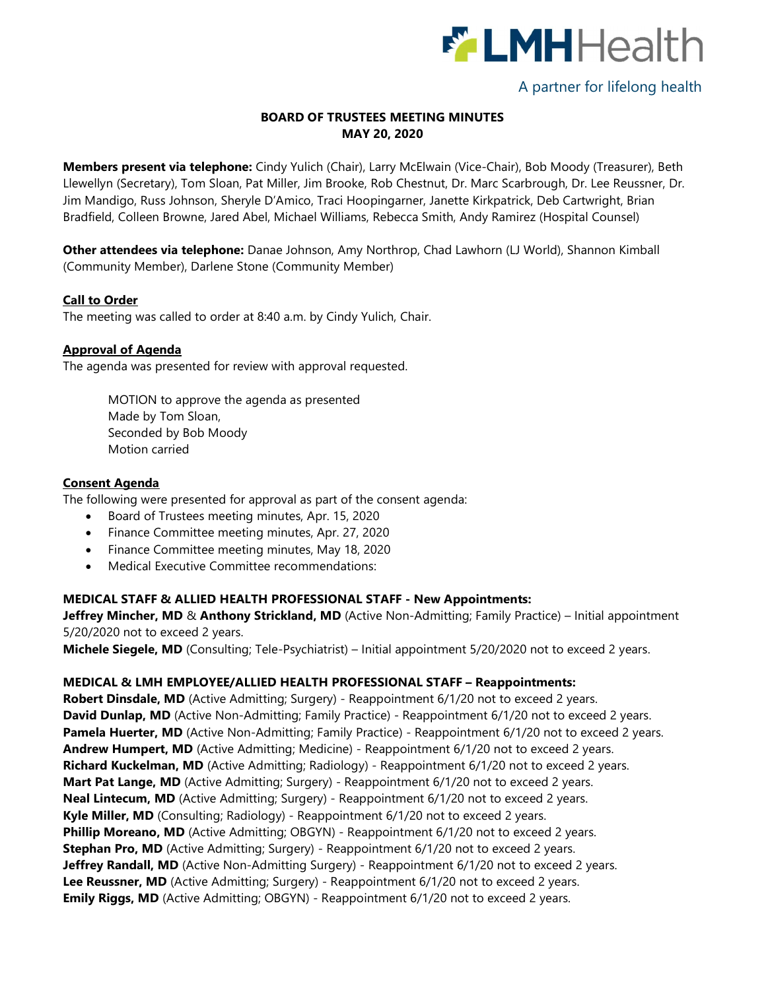

# A partner for lifelong health

## BOARD OF TRUSTEES MEETING MINUTES MAY 20, 2020

Members present via telephone: Cindy Yulich (Chair), Larry McElwain (Vice-Chair), Bob Moody (Treasurer), Beth Llewellyn (Secretary), Tom Sloan, Pat Miller, Jim Brooke, Rob Chestnut, Dr. Marc Scarbrough, Dr. Lee Reussner, Dr. Jim Mandigo, Russ Johnson, Sheryle D'Amico, Traci Hoopingarner, Janette Kirkpatrick, Deb Cartwright, Brian Bradfield, Colleen Browne, Jared Abel, Michael Williams, Rebecca Smith, Andy Ramirez (Hospital Counsel)

Other attendees via telephone: Danae Johnson, Amy Northrop, Chad Lawhorn (LJ World), Shannon Kimball (Community Member), Darlene Stone (Community Member)

#### Call to Order

The meeting was called to order at 8:40 a.m. by Cindy Yulich, Chair.

#### Approval of Agenda

The agenda was presented for review with approval requested.

MOTION to approve the agenda as presented Made by Tom Sloan, Seconded by Bob Moody Motion carried

#### Consent Agenda

The following were presented for approval as part of the consent agenda:

- Board of Trustees meeting minutes, Apr. 15, 2020
- Finance Committee meeting minutes, Apr. 27, 2020
- Finance Committee meeting minutes, May 18, 2020
- Medical Executive Committee recommendations:

## MEDICAL STAFF & ALLIED HEALTH PROFESSIONAL STAFF - New Appointments:

Jeffrey Mincher, MD & Anthony Strickland, MD (Active Non-Admitting; Family Practice) – Initial appointment 5/20/2020 not to exceed 2 years.

Michele Siegele, MD (Consulting; Tele-Psychiatrist) – Initial appointment 5/20/2020 not to exceed 2 years.

#### MEDICAL & LMH EMPLOYEE/ALLIED HEALTH PROFESSIONAL STAFF – Reappointments:

Robert Dinsdale, MD (Active Admitting; Surgery) - Reappointment 6/1/20 not to exceed 2 years. David Dunlap, MD (Active Non-Admitting; Family Practice) - Reappointment 6/1/20 not to exceed 2 years. Pamela Huerter, MD (Active Non-Admitting; Family Practice) - Reappointment 6/1/20 not to exceed 2 years. Andrew Humpert, MD (Active Admitting; Medicine) - Reappointment 6/1/20 not to exceed 2 years. Richard Kuckelman, MD (Active Admitting; Radiology) - Reappointment 6/1/20 not to exceed 2 years. Mart Pat Lange, MD (Active Admitting; Surgery) - Reappointment 6/1/20 not to exceed 2 years. **Neal Lintecum, MD** (Active Admitting; Surgery) - Reappointment 6/1/20 not to exceed 2 years. Kyle Miller, MD (Consulting; Radiology) - Reappointment 6/1/20 not to exceed 2 years. Phillip Moreano, MD (Active Admitting; OBGYN) - Reappointment 6/1/20 not to exceed 2 years. **Stephan Pro, MD** (Active Admitting; Surgery) - Reappointment 6/1/20 not to exceed 2 years. Jeffrey Randall, MD (Active Non-Admitting Surgery) - Reappointment 6/1/20 not to exceed 2 years. Lee Reussner, MD (Active Admitting; Surgery) - Reappointment 6/1/20 not to exceed 2 years. **Emily Riggs, MD** (Active Admitting; OBGYN) - Reappointment 6/1/20 not to exceed 2 years.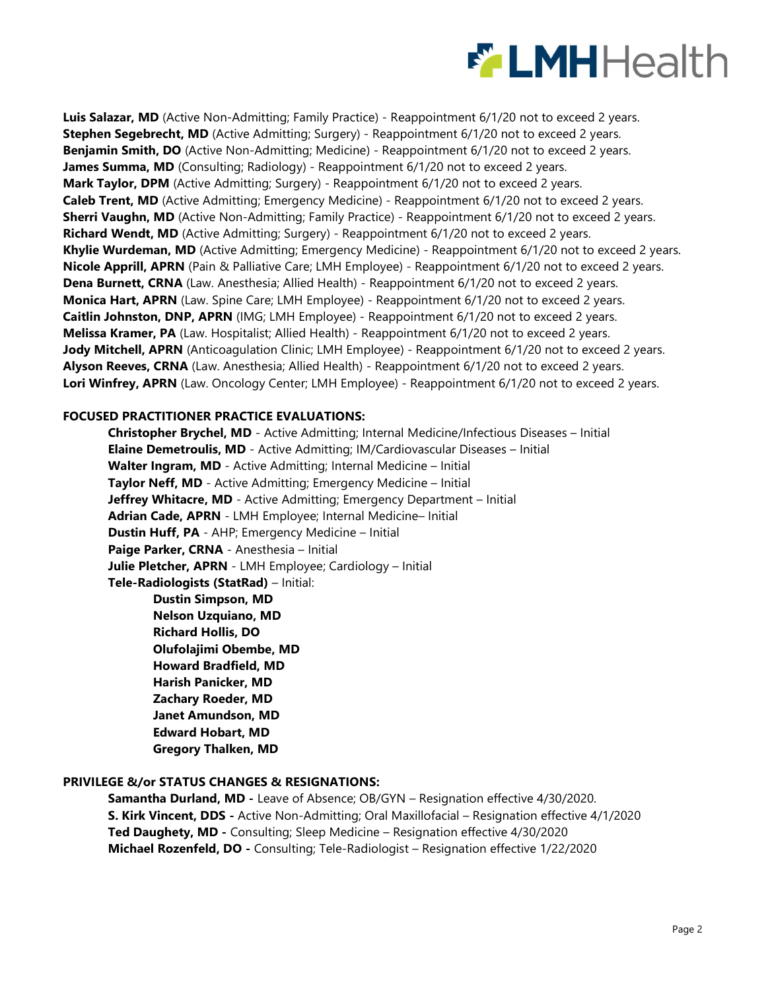

Luis Salazar, MD (Active Non-Admitting; Family Practice) - Reappointment 6/1/20 not to exceed 2 years. Stephen Segebrecht, MD (Active Admitting; Surgery) - Reappointment 6/1/20 not to exceed 2 years. Benjamin Smith, DO (Active Non-Admitting; Medicine) - Reappointment 6/1/20 not to exceed 2 years. James Summa, MD (Consulting; Radiology) - Reappointment 6/1/20 not to exceed 2 years. Mark Taylor, DPM (Active Admitting; Surgery) - Reappointment 6/1/20 not to exceed 2 years. Caleb Trent, MD (Active Admitting; Emergency Medicine) - Reappointment 6/1/20 not to exceed 2 years. **Sherri Vaughn, MD** (Active Non-Admitting; Family Practice) - Reappointment 6/1/20 not to exceed 2 years. Richard Wendt, MD (Active Admitting; Surgery) - Reappointment 6/1/20 not to exceed 2 years. Khylie Wurdeman, MD (Active Admitting; Emergency Medicine) - Reappointment 6/1/20 not to exceed 2 years. Nicole Apprill, APRN (Pain & Palliative Care; LMH Employee) - Reappointment 6/1/20 not to exceed 2 years. Dena Burnett, CRNA (Law. Anesthesia; Allied Health) - Reappointment 6/1/20 not to exceed 2 years. **Monica Hart, APRN** (Law. Spine Care; LMH Employee) - Reappointment 6/1/20 not to exceed 2 years. Caitlin Johnston, DNP, APRN (IMG; LMH Employee) - Reappointment 6/1/20 not to exceed 2 years. **Melissa Kramer, PA** (Law. Hospitalist; Allied Health) - Reappointment 6/1/20 not to exceed 2 years. Jody Mitchell, APRN (Anticoagulation Clinic; LMH Employee) - Reappointment 6/1/20 not to exceed 2 years. Alyson Reeves, CRNA (Law. Anesthesia; Allied Health) - Reappointment 6/1/20 not to exceed 2 years. Lori Winfrey, APRN (Law. Oncology Center; LMH Employee) - Reappointment 6/1/20 not to exceed 2 years.

#### FOCUSED PRACTITIONER PRACTICE EVALUATIONS:

Christopher Brychel, MD - Active Admitting; Internal Medicine/Infectious Diseases – Initial Elaine Demetroulis, MD - Active Admitting; IM/Cardiovascular Diseases – Initial Walter Ingram, MD - Active Admitting; Internal Medicine – Initial Taylor Neff, MD - Active Admitting; Emergency Medicine – Initial Jeffrey Whitacre, MD - Active Admitting; Emergency Department – Initial Adrian Cade, APRN - LMH Employee; Internal Medicine– Initial Dustin Huff, PA - AHP; Emergency Medicine – Initial Paige Parker, CRNA - Anesthesia - Initial Julie Pletcher, APRN - LMH Employee; Cardiology – Initial Tele-Radiologists (StatRad) – Initial:

Dustin Simpson, MD Nelson Uzquiano, MD Richard Hollis, DO Olufolajimi Obembe, MD Howard Bradfield, MD Harish Panicker, MD Zachary Roeder, MD Janet Amundson, MD Edward Hobart, MD Gregory Thalken, MD

#### PRIVILEGE &/or STATUS CHANGES & RESIGNATIONS:

Samantha Durland, MD - Leave of Absence; OB/GYN – Resignation effective 4/30/2020. S. Kirk Vincent, DDS - Active Non-Admitting; Oral Maxillofacial – Resignation effective 4/1/2020 Ted Daughety, MD - Consulting; Sleep Medicine – Resignation effective 4/30/2020 Michael Rozenfeld, DO - Consulting; Tele-Radiologist – Resignation effective 1/22/2020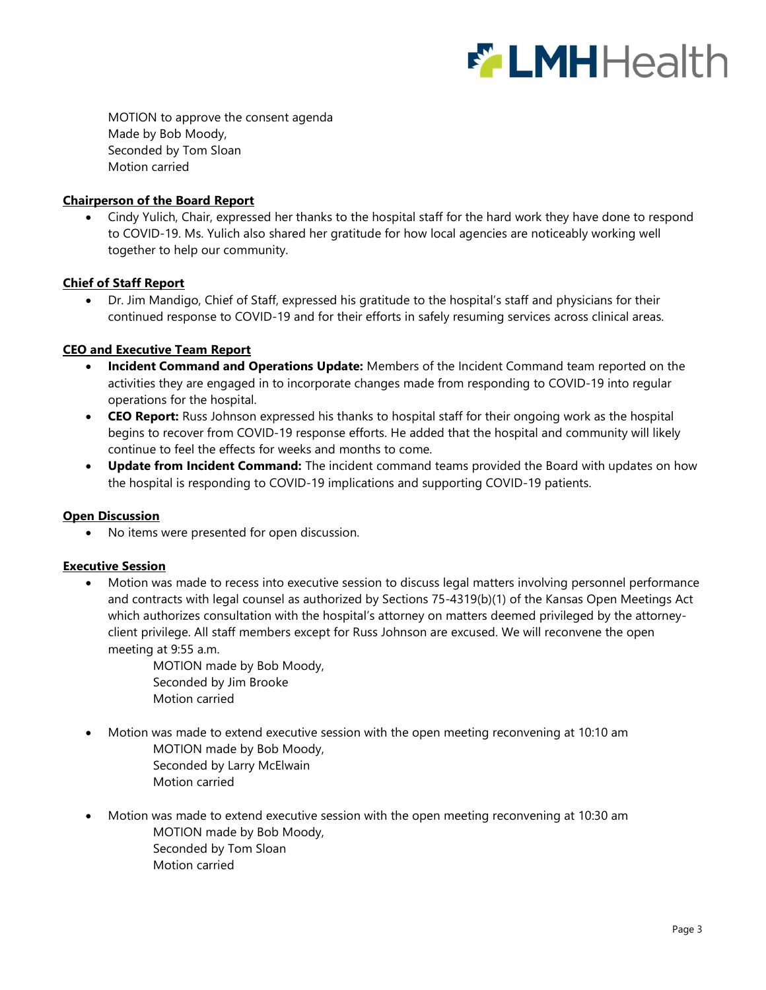

MOTION to approve the consent agenda Made by Bob Moody, Seconded by Tom Sloan Motion carried

## Chairperson of the Board Report

 Cindy Yulich, Chair, expressed her thanks to the hospital staff for the hard work they have done to respond to COVID-19. Ms. Yulich also shared her gratitude for how local agencies are noticeably working well together to help our community.

### Chief of Staff Report

 Dr. Jim Mandigo, Chief of Staff, expressed his gratitude to the hospital's staff and physicians for their continued response to COVID-19 and for their efforts in safely resuming services across clinical areas.

## CEO and Executive Team Report

- Incident Command and Operations Update: Members of the Incident Command team reported on the activities they are engaged in to incorporate changes made from responding to COVID-19 into regular operations for the hospital.
- CEO Report: Russ Johnson expressed his thanks to hospital staff for their ongoing work as the hospital begins to recover from COVID-19 response efforts. He added that the hospital and community will likely continue to feel the effects for weeks and months to come.
- Update from Incident Command: The incident command teams provided the Board with updates on how the hospital is responding to COVID-19 implications and supporting COVID-19 patients.

### **Open Discussion**

No items were presented for open discussion.

### Executive Session

- Motion was made to recess into executive session to discuss legal matters involving personnel performance and contracts with legal counsel as authorized by Sections 75-4319(b)(1) of the Kansas Open Meetings Act which authorizes consultation with the hospital's attorney on matters deemed privileged by the attorneyclient privilege. All staff members except for Russ Johnson are excused. We will reconvene the open meeting at 9:55 a.m.
	- MOTION made by Bob Moody, Seconded by Jim Brooke Motion carried
- Motion was made to extend executive session with the open meeting reconvening at 10:10 am MOTION made by Bob Moody, Seconded by Larry McElwain Motion carried
- Motion was made to extend executive session with the open meeting reconvening at 10:30 am MOTION made by Bob Moody, Seconded by Tom Sloan Motion carried